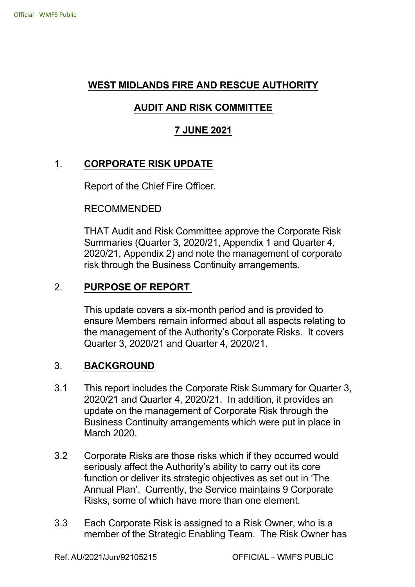## **WEST MIDLANDS FIRE AND RESCUE AUTHORITY**

## **AUDIT AND RISK COMMITTEE**

## **7 JUNE 2021**

## 1. **CORPORATE RISK UPDATE**

Report of the Chief Fire Officer.

RECOMMENDED

THAT Audit and Risk Committee approve the Corporate Risk Summaries (Quarter 3, 2020/21, Appendix 1 and Quarter 4, 2020/21, Appendix 2) and note the management of corporate risk through the Business Continuity arrangements.

#### 2. **PURPOSE OF REPORT**

This update covers a six-month period and is provided to ensure Members remain informed about all aspects relating to the management of the Authority's Corporate Risks. It covers Quarter 3, 2020/21 and Quarter 4, 2020/21.

#### 3. **BACKGROUND**

- 3.1 This report includes the Corporate Risk Summary for Quarter 3, 2020/21 and Quarter 4, 2020/21. In addition, it provides an update on the management of Corporate Risk through the Business Continuity arrangements which were put in place in March 2020.
- 3.2 Corporate Risks are those risks which if they occurred would seriously affect the Authority's ability to carry out its core function or deliver its strategic objectives as set out in 'The Annual Plan'. Currently, the Service maintains 9 Corporate Risks, some of which have more than one element.
- 3.3 Each Corporate Risk is assigned to a Risk Owner, who is a member of the Strategic Enabling Team. The Risk Owner has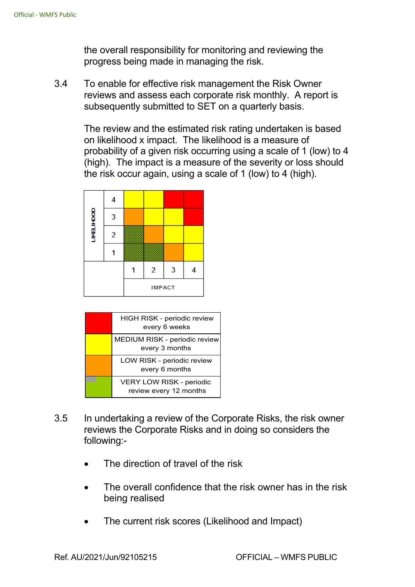the overall responsibility for monitoring and reviewing the progress being made in managing the risk.

3.4 To enable for effective risk management the Risk Owner reviews and assess each corporate risk monthly. A report is subsequently submitted to SET on a quarterly basis.

> The review and the estimated risk rating undertaken is based on likelihood x impact. The likelihood is a measure of probability of a given risk occurring using a scale of 1 (low) to 4 (high). The impact is a measure of the severity or loss should the risk occur again, using a scale of 1 (low) to 4 (high).



| HIGH RISK - periodic review<br>every 6 weeks              |
|-----------------------------------------------------------|
| MEDIUM RISK - periodic review<br>every 3 months           |
| LOW RISK - periodic review<br>every 6 months              |
| <b>VERY LOW RISK - periodic</b><br>review every 12 months |

- 3.5 In undertaking a review of the Corporate Risks, the risk owner reviews the Corporate Risks and in doing so considers the following:
	- The direction of travel of the risk
	- The overall confidence that the risk owner has in the risk being realised
	- The current risk scores (Likelihood and Impact)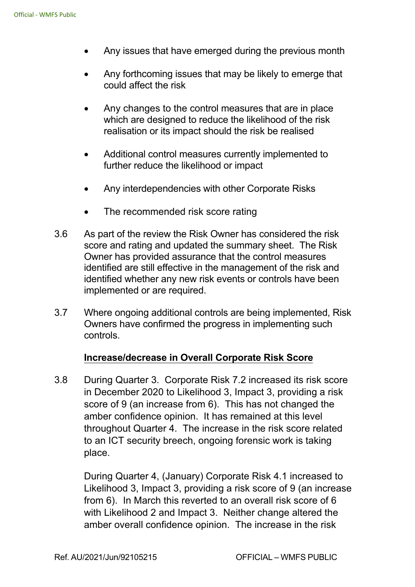- Any issues that have emerged during the previous month
- Any forthcoming issues that may be likely to emerge that could affect the risk
- Any changes to the control measures that are in place which are designed to reduce the likelihood of the risk realisation or its impact should the risk be realised
- Additional control measures currently implemented to further reduce the likelihood or impact
- Any interdependencies with other Corporate Risks
- The recommended risk score rating
- 3.6 As part of the review the Risk Owner has considered the risk score and rating and updated the summary sheet. The Risk Owner has provided assurance that the control measures identified are still effective in the management of the risk and identified whether any new risk events or controls have been implemented or are required.
- 3.7 Where ongoing additional controls are being implemented, Risk Owners have confirmed the progress in implementing such controls.

#### **Increase/decrease in Overall Corporate Risk Score**

3.8 During Quarter 3. Corporate Risk 7.2 increased its risk score in December 2020 to Likelihood 3, Impact 3, providing a risk score of 9 (an increase from 6). This has not changed the amber confidence opinion. It has remained at this level throughout Quarter 4. The increase in the risk score related to an ICT security breech, ongoing forensic work is taking place.

During Quarter 4, (January) Corporate Risk 4.1 increased to Likelihood 3, Impact 3, providing a risk score of 9 (an increase from 6). In March this reverted to an overall risk score of 6 with Likelihood 2 and Impact 3. Neither change altered the amber overall confidence opinion. The increase in the risk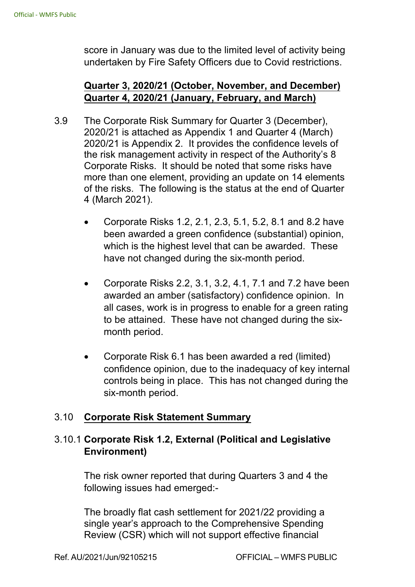score in January was due to the limited level of activity being undertaken by Fire Safety Officers due to Covid restrictions.

## **Quarter 3, 2020/21 (October, November, and December) Quarter 4, 2020/21 (January, February, and March)**

- 3.9 The Corporate Risk Summary for Quarter 3 (December), 2020/21 is attached as Appendix 1 and Quarter 4 (March) 2020/21 is Appendix 2. It provides the confidence levels of the risk management activity in respect of the Authority's 8 Corporate Risks. It should be noted that some risks have more than one element, providing an update on 14 elements of the risks. The following is the status at the end of Quarter 4 (March 2021).
	- Corporate Risks 1.2, 2.1, 2.3, 5.1, 5.2, 8.1 and 8.2 have been awarded a green confidence (substantial) opinion, which is the highest level that can be awarded. These have not changed during the six-month period.
	- Corporate Risks 2.2, 3.1, 3.2, 4.1, 7.1 and 7.2 have been awarded an amber (satisfactory) confidence opinion. In all cases, work is in progress to enable for a green rating to be attained. These have not changed during the sixmonth period.
	- Corporate Risk 6.1 has been awarded a red (limited) confidence opinion, due to the inadequacy of key internal controls being in place. This has not changed during the six-month period.

### 3.10 **Corporate Risk Statement Summary**

# 3.10.1 **Corporate Risk 1.2, External (Political and Legislative Environment)**

The risk owner reported that during Quarters 3 and 4 the following issues had emerged:

The broadly flat cash settlement for 2021/22 providing a single year's approach to the Comprehensive Spending Review (CSR) which will not support effective financial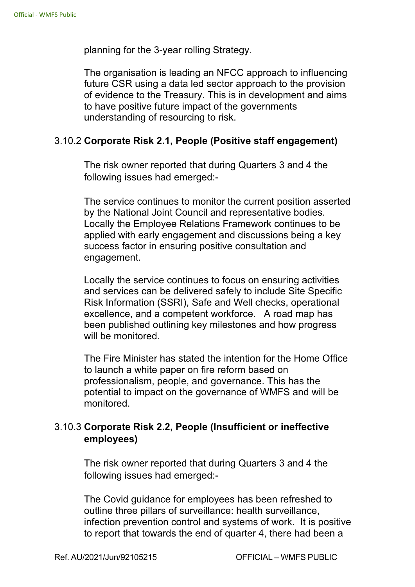planning for the 3-year rolling Strategy.

The organisation is leading an NFCC approach to influencing future CSR using a data led sector approach to the provision of evidence to the Treasury. This is in development and aims to have positive future impact of the governments understanding of resourcing to risk.

### 3.10.2 **Corporate Risk 2.1, People (Positive staff engagement)**

The risk owner reported that during Quarters 3 and 4 the following issues had emerged:

The service continues to monitor the current position asserted by the National Joint Council and representative bodies. Locally the Employee Relations Framework continues to be applied with early engagement and discussions being a key success factor in ensuring positive consultation and engagement.

Locally the service continues to focus on ensuring activities and services can be delivered safely to include Site Specific Risk Information (SSRI), Safe and Well checks, operational excellence, and a competent workforce. A road map has been published outlining key milestones and how progress will be monitored.

The Fire Minister has stated the intention for the Home Office to launch a white paper on fire reform based on professionalism, people, and governance. This has the potential to impact on the governance of WMFS and will be monitored.

## 3.10.3 **Corporate Risk 2.2, People (Insufficient or ineffective employees)**

The risk owner reported that during Quarters 3 and 4 the following issues had emerged:

The Covid guidance for employees has been refreshed to outline three pillars of surveillance: health surveillance, infection prevention control and systems of work. It is positive to report that towards the end of quarter 4, there had been a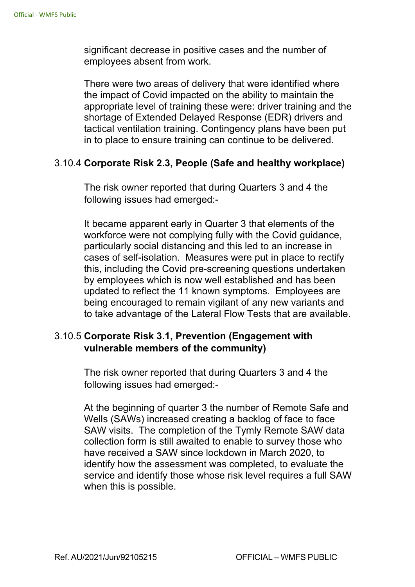significant decrease in positive cases and the number of employees absent from work.

There were two areas of delivery that were identified where the impact of Covid impacted on the ability to maintain the appropriate level of training these were: driver training and the shortage of Extended Delayed Response (EDR) drivers and tactical ventilation training. Contingency plans have been put in to place to ensure training can continue to be delivered.

#### 3.10.4 **Corporate Risk 2.3, People (Safe and healthy workplace)**

The risk owner reported that during Quarters 3 and 4 the following issues had emerged:

It became apparent early in Quarter 3 that elements of the workforce were not complying fully with the Covid guidance, particularly social distancing and this led to an increase in cases of self-isolation. Measures were put in place to rectify this, including the Covid pre-screening questions undertaken by employees which is now well established and has been updated to reflect the 11 known symptoms. Employees are being encouraged to remain vigilant of any new variants and to take advantage of the Lateral Flow Tests that are available.

### 3.10.5 **Corporate Risk 3.1, Prevention (Engagement with vulnerable members of the community)**

The risk owner reported that during Quarters 3 and 4 the following issues had emerged:

At the beginning of quarter 3 the number of Remote Safe and Wells (SAWs) increased creating a backlog of face to face SAW visits. The completion of the Tymly Remote SAW data collection form is still awaited to enable to survey those who have received a SAW since lockdown in March 2020, to identify how the assessment was completed, to evaluate the service and identify those whose risk level requires a full SAW when this is possible.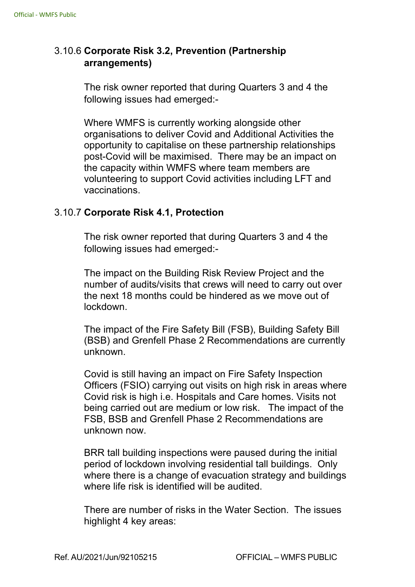# 3.10.6 **Corporate Risk 3.2, Prevention (Partnership arrangements)**

The risk owner reported that during Quarters 3 and 4 the following issues had emerged:

Where WMFS is currently working alongside other organisations to deliver Covid and Additional Activities the opportunity to capitalise on these partnership relationships post-Covid will be maximised. There may be an impact on the capacity within WMFS where team members are volunteering to support Covid activities including LFT and vaccinations.

### 3.10.7 **Corporate Risk 4.1, Protection**

The risk owner reported that during Quarters 3 and 4 the following issues had emerged:

The impact on the Building Risk Review Project and the number of audits/visits that crews will need to carry out over the next 18 months could be hindered as we move out of lockdown.

The impact of the Fire Safety Bill (FSB), Building Safety Bill (BSB) and Grenfell Phase 2 Recommendations are currently unknown.

Covid is still having an impact on Fire Safety Inspection Officers (FSIO) carrying out visits on high risk in areas where Covid risk is high i.e. Hospitals and Care homes. Visits not being carried out are medium or low risk. The impact of the FSB, BSB and Grenfell Phase 2 Recommendations are unknown now.

BRR tall building inspections were paused during the initial period of lockdown involving residential tall buildings. Only where there is a change of evacuation strategy and buildings where life risk is identified will be audited.

There are number of risks in the Water Section. The issues highlight 4 key areas: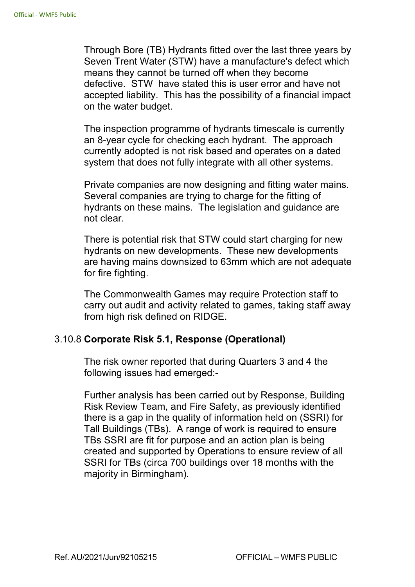Through Bore (TB) Hydrants fitted over the last three years by Seven Trent Water (STW) have a manufacture's defect which means they cannot be turned off when they become defective. STW have stated this is user error and have not accepted liability. This has the possibility of a financial impact on the water budget.

The inspection programme of hydrants timescale is currently an 8-year cycle for checking each hydrant. The approach currently adopted is not risk based and operates on a dated system that does not fully integrate with all other systems.

Private companies are now designing and fitting water mains. Several companies are trying to charge for the fitting of hydrants on these mains. The legislation and guidance are not clear.

There is potential risk that STW could start charging for new hydrants on new developments. These new developments are having mains downsized to 63mm which are not adequate for fire fighting.

The Commonwealth Games may require Protection staff to carry out audit and activity related to games, taking staff away from high risk defined on RIDGE.

#### 3.10.8 **Corporate Risk 5.1, Response (Operational)**

The risk owner reported that during Quarters 3 and 4 the following issues had emerged:

Further analysis has been carried out by Response, Building Risk Review Team, and Fire Safety, as previously identified there is a gap in the quality of information held on (SSRI) for Tall Buildings (TBs). A range of work is required to ensure TBs SSRI are fit for purpose and an action plan is being created and supported by Operations to ensure review of all SSRI for TBs (circa 700 buildings over 18 months with the majority in Birmingham)*.*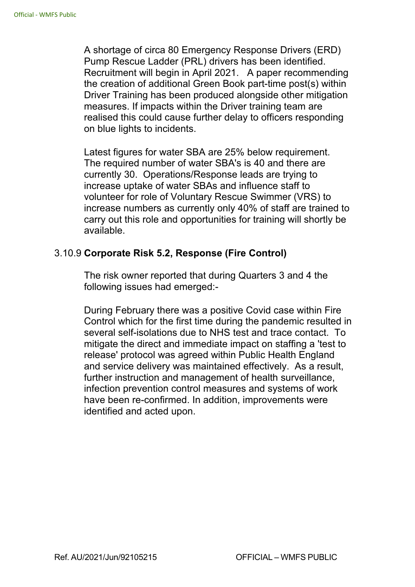A shortage of circa 80 Emergency Response Drivers (ERD) Pump Rescue Ladder (PRL) drivers has been identified. Recruitment will begin in April 2021. A paper recommending the creation of additional Green Book part-time post(s) within Driver Training has been produced alongside other mitigation measures. If impacts within the Driver training team are realised this could cause further delay to officers responding on blue lights to incidents.

Latest figures for water SBA are 25% below requirement. The required number of water SBA's is 40 and there are currently 30. Operations/Response leads are trying to increase uptake of water SBAs and influence staff to volunteer for role of Voluntary Rescue Swimmer (VRS) to increase numbers as currently only 40% of staff are trained to carry out this role and opportunities for training will shortly be available.

#### 3.10.9 **Corporate Risk 5.2, Response (Fire Control)**

The risk owner reported that during Quarters 3 and 4 the following issues had emerged:

During February there was a positive Covid case within Fire Control which for the first time during the pandemic resulted in several self-isolations due to NHS test and trace contact. To mitigate the direct and immediate impact on staffing a 'test to release' protocol was agreed within Public Health England and service delivery was maintained effectively. As a result, further instruction and management of health surveillance, infection prevention control measures and systems of work have been re-confirmed. In addition, improvements were identified and acted upon.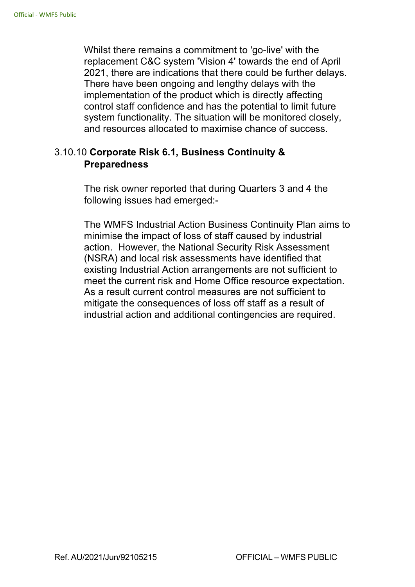Whilst there remains a commitment to 'go-live' with the replacement C&C system 'Vision 4' towards the end of April 2021, there are indications that there could be further delays. There have been ongoing and lengthy delays with the implementation of the product which is directly affecting control staff confidence and has the potential to limit future system functionality. The situation will be monitored closely, and resources allocated to maximise chance of success.

## 3.10.10 **Corporate Risk 6.1, Business Continuity & Preparedness**

The risk owner reported that during Quarters 3 and 4 the following issues had emerged:

The WMFS Industrial Action Business Continuity Plan aims to minimise the impact of loss of staff caused by industrial action. However, the National Security Risk Assessment (NSRA) and local risk assessments have identified that existing Industrial Action arrangements are not sufficient to meet the current risk and Home Office resource expectation. As a result current control measures are not sufficient to mitigate the consequences of loss off staff as a result of industrial action and additional contingencies are required.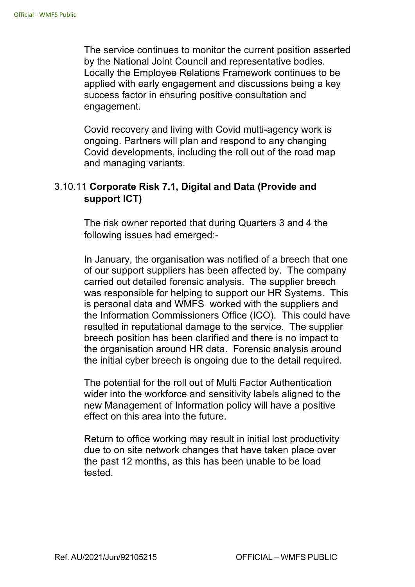The service continues to monitor the current position asserted by the National Joint Council and representative bodies. Locally the Employee Relations Framework continues to be applied with early engagement and discussions being a key success factor in ensuring positive consultation and engagement.

Covid recovery and living with Covid multi-agency work is ongoing. Partners will plan and respond to any changing Covid developments, including the roll out of the road map and managing variants.

## 3.10.11 **Corporate Risk 7.1, Digital and Data (Provide and support ICT)**

The risk owner reported that during Quarters 3 and 4 the following issues had emerged:

In January, the organisation was notified of a breech that one of our support suppliers has been affected by. The company carried out detailed forensic analysis. The supplier breech was responsible for helping to support our HR Systems. This is personal data and WMFS worked with the suppliers and the Information Commissioners Office (ICO). This could have resulted in reputational damage to the service. The supplier breech position has been clarified and there is no impact to the organisation around HR data. Forensic analysis around the initial cyber breech is ongoing due to the detail required.

The potential for the roll out of Multi Factor Authentication wider into the workforce and sensitivity labels aligned to the new Management of Information policy will have a positive effect on this area into the future.

Return to office working may result in initial lost productivity due to on site network changes that have taken place over the past 12 months, as this has been unable to be load tested.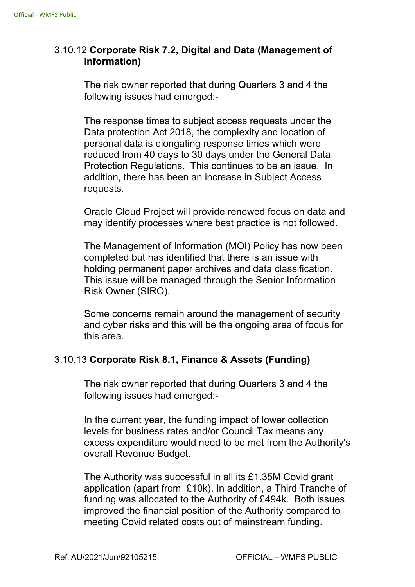## 3.10.12 **Corporate Risk 7.2, Digital and Data (Management of information)**

The risk owner reported that during Quarters 3 and 4 the following issues had emerged:

The response times to subject access requests under the Data protection Act 2018, the complexity and location of personal data is elongating response times which were reduced from 40 days to 30 days under the General Data Protection Regulations. This continues to be an issue. In addition, there has been an increase in Subject Access requests.

Oracle Cloud Project will provide renewed focus on data and may identify processes where best practice is not followed.

The Management of Information (MOI) Policy has now been completed but has identified that there is an issue with holding permanent paper archives and data classification. This issue will be managed through the Senior Information Risk Owner (SIRO).

Some concerns remain around the management of security and cyber risks and this will be the ongoing area of focus for this area.

### 3.10.13 **Corporate Risk 8.1, Finance & Assets (Funding)**

The risk owner reported that during Quarters 3 and 4 the following issues had emerged:

In the current year, the funding impact of lower collection levels for business rates and/or Council Tax means any excess expenditure would need to be met from the Authority's overall Revenue Budget.

The Authority was successful in all its £1.35M Covid grant application (apart from £10k). In addition, a Third Tranche of funding was allocated to the Authority of £494k. Both issues improved the financial position of the Authority compared to meeting Covid related costs out of mainstream funding.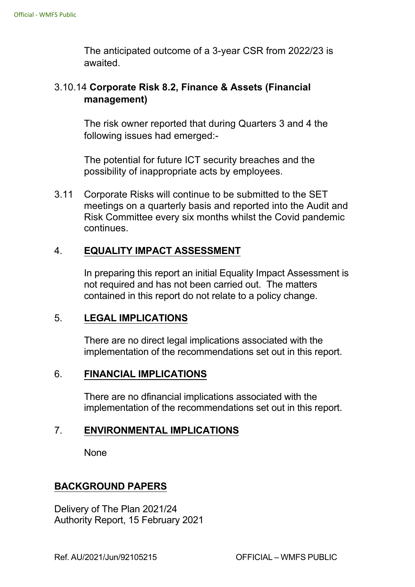The anticipated outcome of a 3-year CSR from 2022/23 is awaited.

## 3.10.14 **Corporate Risk 8.2, Finance & Assets (Financial management)**

The risk owner reported that during Quarters 3 and 4 the following issues had emerged:

The potential for future ICT security breaches and the possibility of inappropriate acts by employees.

3.11 Corporate Risks will continue to be submitted to the SET meetings on a quarterly basis and reported into the Audit and Risk Committee every six months whilst the Covid pandemic continues.

## 4. **EQUALITY IMPACT ASSESSMENT**

In preparing this report an initial Equality Impact Assessment is not required and has not been carried out. The matters contained in this report do not relate to a policy change.

#### 5. **LEGAL IMPLICATIONS**

There are no direct legal implications associated with the implementation of the recommendations set out in this report.

#### 6. **FINANCIAL IMPLICATIONS**

There are no dfinancial implications associated with the implementation of the recommendations set out in this report.

### 7. **ENVIRONMENTAL IMPLICATIONS**

None

# **BACKGROUND PAPERS**

Delivery of The Plan 2021/24 Authority Report, 15 February 2021